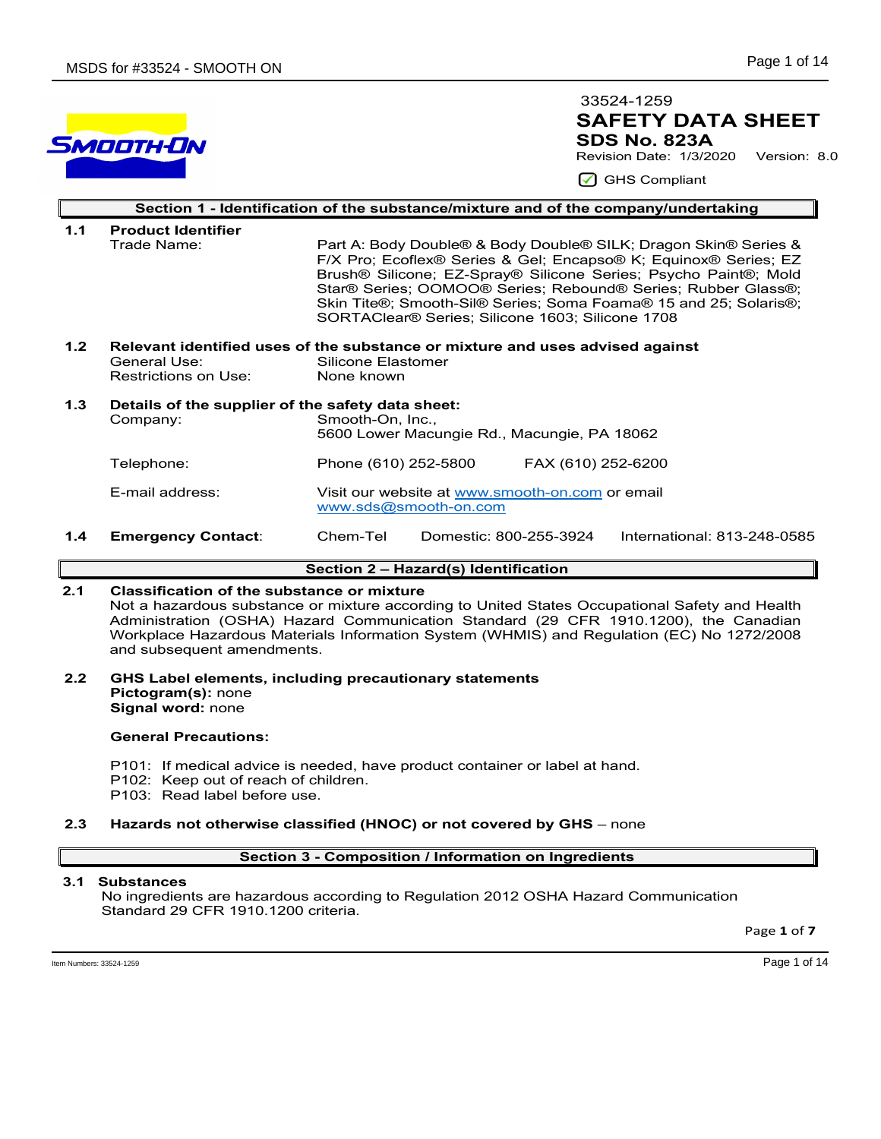# SMOOTH-ON

# **SAFETY DATA SHEET SDS No. 823A**  33524-1259

Revision Date: 1/3/2020 Version: 8.0

GHS Compliant

|     | Section 1 - Identification of the substance/mixture and of the company/undertaking |                                                                                                                                                                                                                                                                                                                                                                                               |  |  |  |  |
|-----|------------------------------------------------------------------------------------|-----------------------------------------------------------------------------------------------------------------------------------------------------------------------------------------------------------------------------------------------------------------------------------------------------------------------------------------------------------------------------------------------|--|--|--|--|
| 1.1 | <b>Product Identifier</b>                                                          |                                                                                                                                                                                                                                                                                                                                                                                               |  |  |  |  |
|     | Trade Name:                                                                        | Part A: Body Double® & Body Double® SILK; Dragon Skin® Series &<br>F/X Pro; Ecoflex® Series & Gel; Encapso® K; Equinox® Series; EZ<br>Brush® Silicone; EZ-Spray® Silicone Series; Psycho Paint®; Mold<br>Star® Series; OOMOO® Series; Rebound® Series; Rubber Glass®;<br>Skin Tite®; Smooth-Sil® Series; Soma Foama® 15 and 25; Solaris®;<br>SORTAClear® Series; Silicone 1603; Silicone 1708 |  |  |  |  |
| 1.2 | Relevant identified uses of the substance or mixture and uses advised against      |                                                                                                                                                                                                                                                                                                                                                                                               |  |  |  |  |
|     | General Use:                                                                       | Silicone Elastomer<br>None known                                                                                                                                                                                                                                                                                                                                                              |  |  |  |  |
|     | Restrictions on Use:                                                               |                                                                                                                                                                                                                                                                                                                                                                                               |  |  |  |  |
| 1.3 | Details of the supplier of the safety data sheet:                                  |                                                                                                                                                                                                                                                                                                                                                                                               |  |  |  |  |
|     | Company:                                                                           | Smooth-On, Inc.,<br>5600 Lower Macungie Rd., Macungie, PA 18062                                                                                                                                                                                                                                                                                                                               |  |  |  |  |
|     |                                                                                    |                                                                                                                                                                                                                                                                                                                                                                                               |  |  |  |  |
|     | Telephone:                                                                         | Phone (610) 252-5800<br>FAX (610) 252-6200                                                                                                                                                                                                                                                                                                                                                    |  |  |  |  |
|     | E-mail address:                                                                    | Visit our website at www.smooth-on.com or email<br>www.sds@smooth-on.com                                                                                                                                                                                                                                                                                                                      |  |  |  |  |
| 1.4 | <b>Emergency Contact:</b>                                                          | Chem-Tel<br>Domestic: 800-255-3924<br>International: 813-248-0585                                                                                                                                                                                                                                                                                                                             |  |  |  |  |

# **Section 2 – Hazard(s) Identification**

# **2.1 Classification of the substance or mixture**

Not a hazardous substance or mixture according to United States Occupational Safety and Health Administration (OSHA) Hazard Communication Standard (29 CFR 1910.1200), the Canadian Workplace Hazardous Materials Information System (WHMIS) and Regulation (EC) No 1272/2008 and subsequent amendments.

## **2.2 GHS Label elements, including precautionary statements Pictogram(s):** none **Signal word:** none

# **General Precautions:**

- P101: If medical advice is needed, have product container or label at hand.
- P102: Keep out of reach of children.
- P103: Read label before use.

# **2.3 Hazards not otherwise classified (HNOC) or not covered by GHS** – none

# **Section 3 - Composition / Information on Ingredients**

# **3.1 Substances**

 No ingredients are hazardous according to Regulation 2012 OSHA Hazard Communication Standard 29 CFR 1910.1200 criteria.

Page **1** of **7**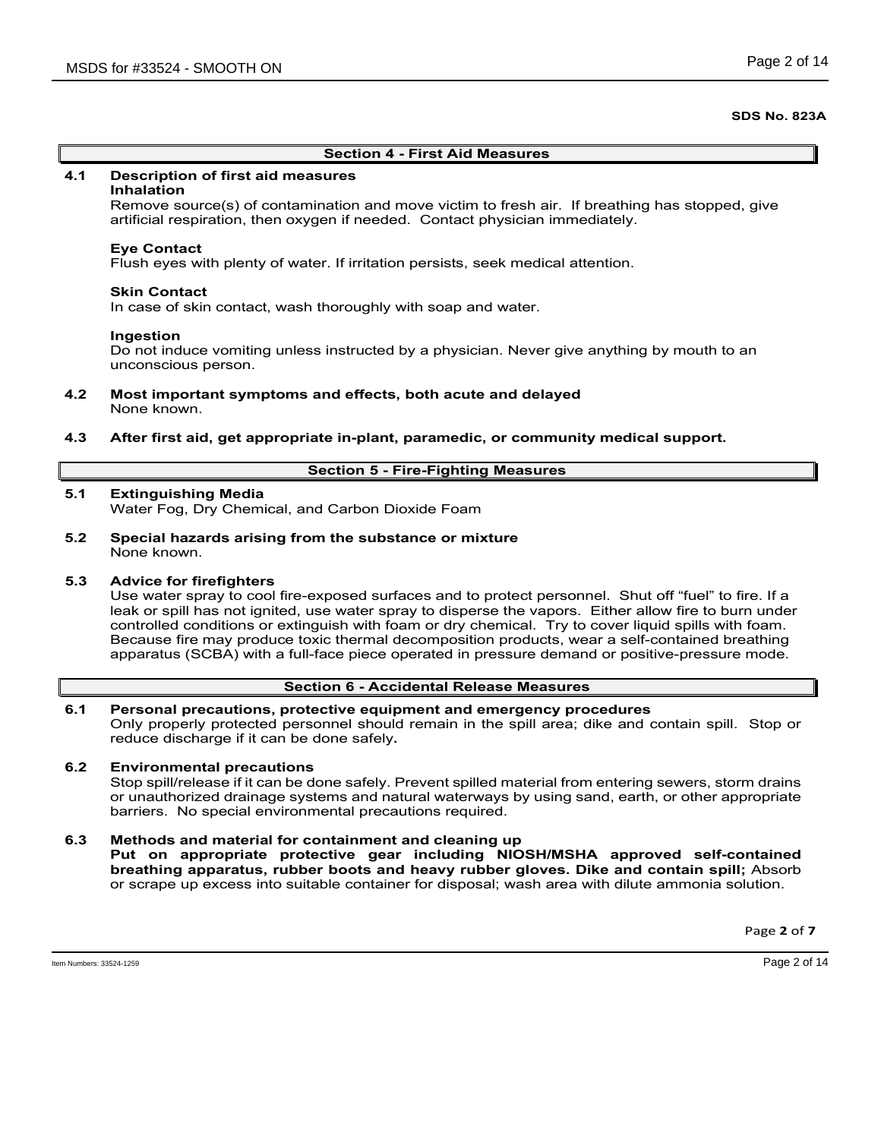## **Section 4 - First Aid Measures**

# **4.1 Description of first aid measures**

## **Inhalation**

Remove source(s) of contamination and move victim to fresh air. If breathing has stopped, give artificial respiration, then oxygen if needed. Contact physician immediately.

## **Eye Contact**

Flush eyes with plenty of water. If irritation persists, seek medical attention.

## **Skin Contact**

In case of skin contact, wash thoroughly with soap and water.

## **Ingestion**

Do not induce vomiting unless instructed by a physician. Never give anything by mouth to an unconscious person.

- **4.2 Most important symptoms and effects, both acute and delayed** None known.
- **4.3 After first aid, get appropriate in-plant, paramedic, or community medical support.**

## **Section 5 - Fire-Fighting Measures**

# **5.1 Extinguishing Media**

Water Fog, Dry Chemical, and Carbon Dioxide Foam

**5.2 Special hazards arising from the substance or mixture** None known.

# **5.3 Advice for firefighters**

Use water spray to cool fire-exposed surfaces and to protect personnel. Shut off "fuel" to fire. If a leak or spill has not ignited, use water spray to disperse the vapors. Either allow fire to burn under controlled conditions or extinguish with foam or dry chemical. Try to cover liquid spills with foam. Because fire may produce toxic thermal decomposition products, wear a self-contained breathing apparatus (SCBA) with a full-face piece operated in pressure demand or positive-pressure mode.

## **Section 6 - Accidental Release Measures**

## **6.1 Personal precautions, protective equipment and emergency procedures** Only properly protected personnel should remain in the spill area; dike and contain spill. Stop or reduce discharge if it can be done safely**.**

# **6.2 Environmental precautions**

Stop spill/release if it can be done safely. Prevent spilled material from entering sewers, storm drains or unauthorized drainage systems and natural waterways by using sand, earth, or other appropriate barriers.No special environmental precautions required.

## **6.3 Methods and material for containment and cleaning up**

**Put on appropriate protective gear including NIOSH/MSHA approved self-contained breathing apparatus, rubber boots and heavy rubber gloves. Dike and contain spill;** Absorb or scrape up excess into suitable container for disposal; wash area with dilute ammonia solution.

Page **2** of **7**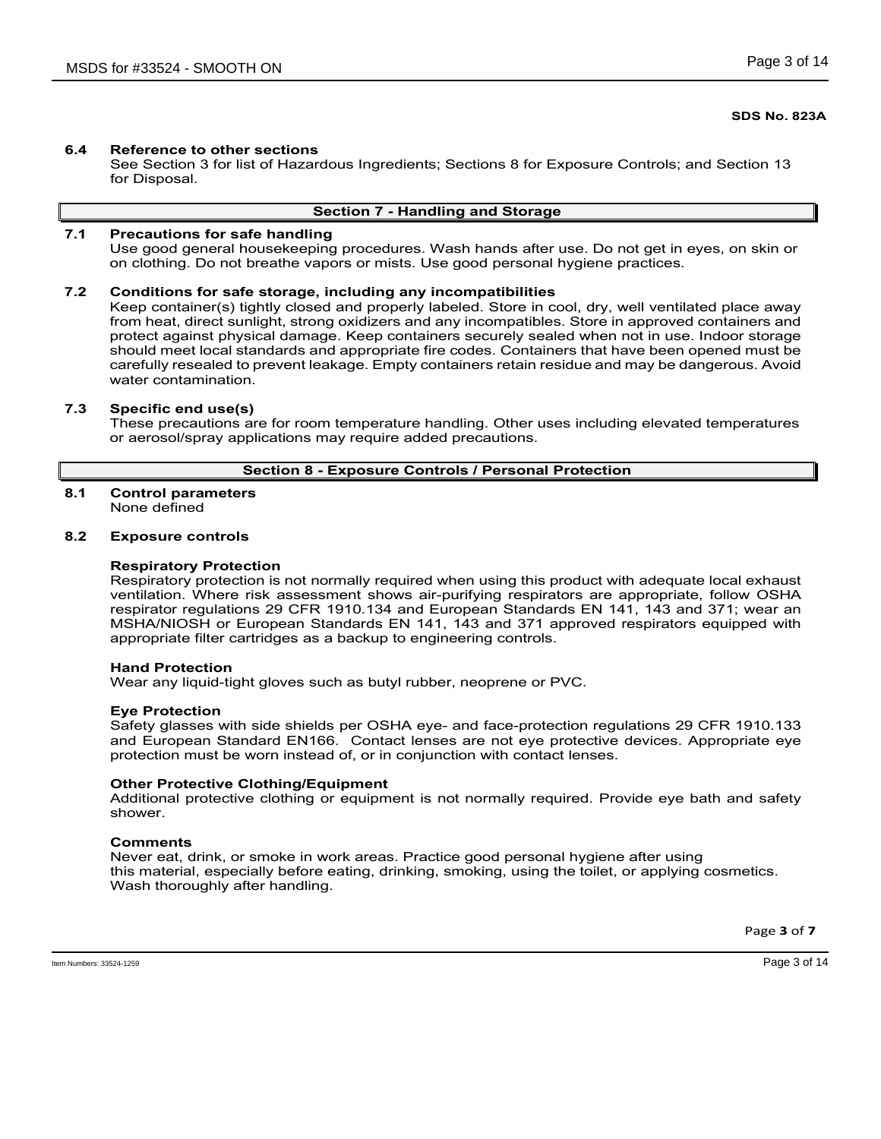# **6.4 Reference to other sections**

See Section 3 for list of Hazardous Ingredients; Sections 8 for Exposure Controls; and Section 13 for Disposal.

# **Section 7 - Handling and Storage**

# **7.1 Precautions for safe handling**

Use good general housekeeping procedures. Wash hands after use. Do not get in eyes, on skin or on clothing. Do not breathe vapors or mists. Use good personal hygiene practices.

## **7.2 Conditions for safe storage, including any incompatibilities**

Keep container(s) tightly closed and properly labeled. Store in cool, dry, well ventilated place away from heat, direct sunlight, strong oxidizers and any incompatibles. Store in approved containers and protect against physical damage. Keep containers securely sealed when not in use. Indoor storage should meet local standards and appropriate fire codes. Containers that have been opened must be carefully resealed to prevent leakage. Empty containers retain residue and may be dangerous. Avoid water contamination.

## **7.3 Specific end use(s)**

These precautions are for room temperature handling. Other uses including elevated temperatures or aerosol/spray applications may require added precautions.

## **Section 8 - Exposure Controls / Personal Protection**

# **8.1 Control parameters**

None defined

# **8.2 Exposure controls**

## **Respiratory Protection**

Respiratory protection is not normally required when using this product with adequate local exhaust ventilation. Where risk assessment shows air-purifying respirators are appropriate, follow OSHA respirator regulations 29 CFR 1910.134 and European Standards EN 141, 143 and 371; wear an MSHA/NIOSH or European Standards EN 141, 143 and 371 approved respirators equipped with appropriate filter cartridges as a backup to engineering controls.

## **Hand Protection**

Wear any liquid-tight gloves such as butyl rubber, neoprene or PVC.

## **Eye Protection**

Safety glasses with side shields per OSHA eye- and face-protection regulations 29 CFR 1910.133 and European Standard EN166. Contact lenses are not eye protective devices. Appropriate eye protection must be worn instead of, or in conjunction with contact lenses.

## **Other Protective Clothing/Equipment**

Additional protective clothing or equipment is not normally required. Provide eye bath and safety shower.

## **Comments**

Never eat, drink, or smoke in work areas. Practice good personal hygiene after using this material, especially before eating, drinking, smoking, using the toilet, or applying cosmetics. Wash thoroughly after handling.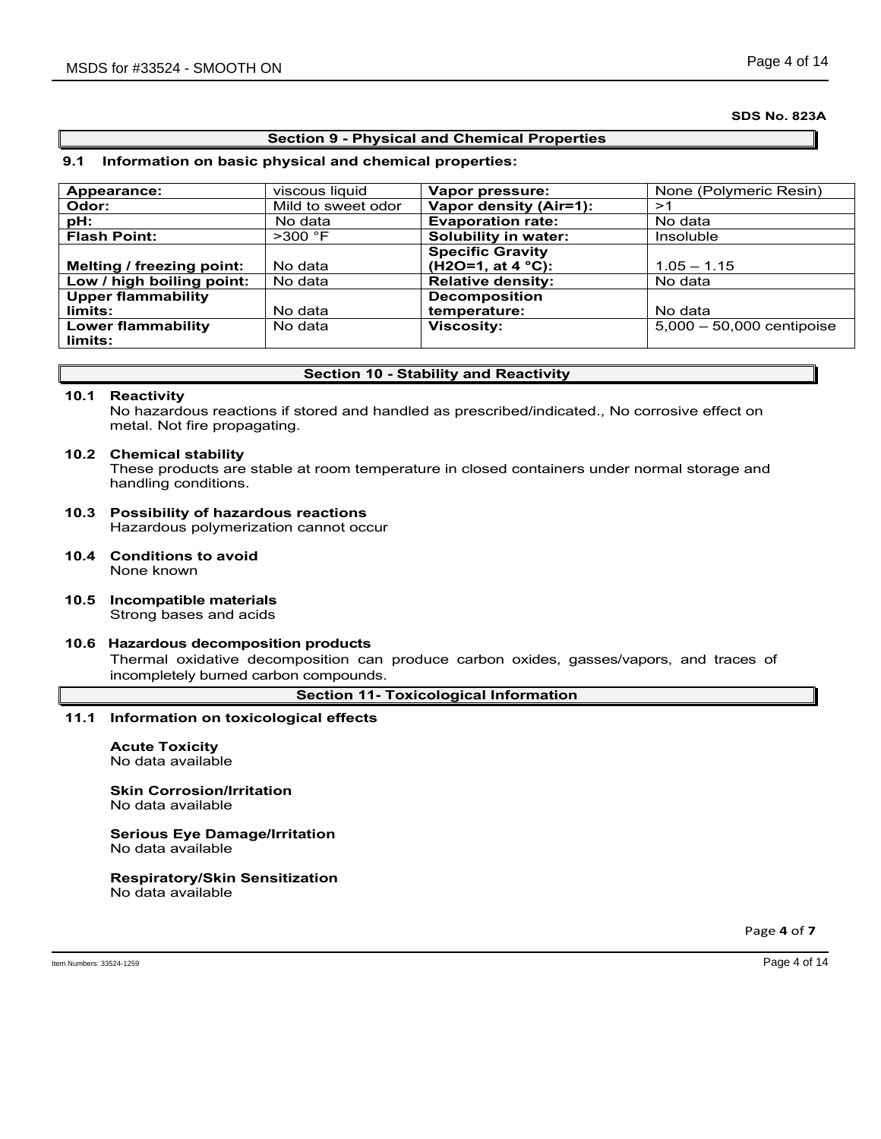# **Section 9 - Physical and Chemical Properties**

# **9.1 Information on basic physical and chemical properties:**

| Appearance:               | viscous liquid     | Vapor pressure:             | None (Polymeric Resin)      |
|---------------------------|--------------------|-----------------------------|-----------------------------|
| Odor:                     | Mild to sweet odor | Vapor density (Air=1):      | >1                          |
| pH:                       | No data            | <b>Evaporation rate:</b>    | No data                     |
| <b>Flash Point:</b>       | $>300$ °F          | Solubility in water:        | Insoluble                   |
|                           |                    | <b>Specific Gravity</b>     |                             |
| Melting / freezing point: | No data            | (H2O=1, at 4 $^{\circ}$ C): | $1.05 - 1.15$               |
| Low / high boiling point: | No data            | <b>Relative density:</b>    | No data                     |
| <b>Upper flammability</b> |                    | <b>Decomposition</b>        |                             |
| limits:                   | No data            | temperature:                | No data                     |
| <b>Lower flammability</b> | No data            | <b>Viscosity:</b>           | $5,000 - 50,000$ centipoise |
| limits:                   |                    |                             |                             |

# **Section 10 - Stability and Reactivity**

## **10.1 Reactivity**

No hazardous reactions if stored and handled as prescribed/indicated., No corrosive effect on metal. Not fire propagating.

## **10.2 Chemical stability**

These products are stable at room temperature in closed containers under normal storage and handling conditions.

- **10.3 Possibility of hazardous reactions** Hazardous polymerization cannot occur
- **10.4 Conditions to avoid** None known
- **10.5 Incompatible materials** Strong bases and acids

# **10.6 Hazardous decomposition products**

Thermal oxidative decomposition can produce carbon oxides, gasses/vapors, and traces of incompletely burned carbon compounds.

**Section 11- Toxicological Information**

# **11.1 Information on toxicological effects**

**Acute Toxicity** No data available

# **Skin Corrosion/Irritation**

No data available

#### **Serious Eye Damage/Irritation** No data available

# **Respiratory/Skin Sensitization**

No data available

Page **4** of **7**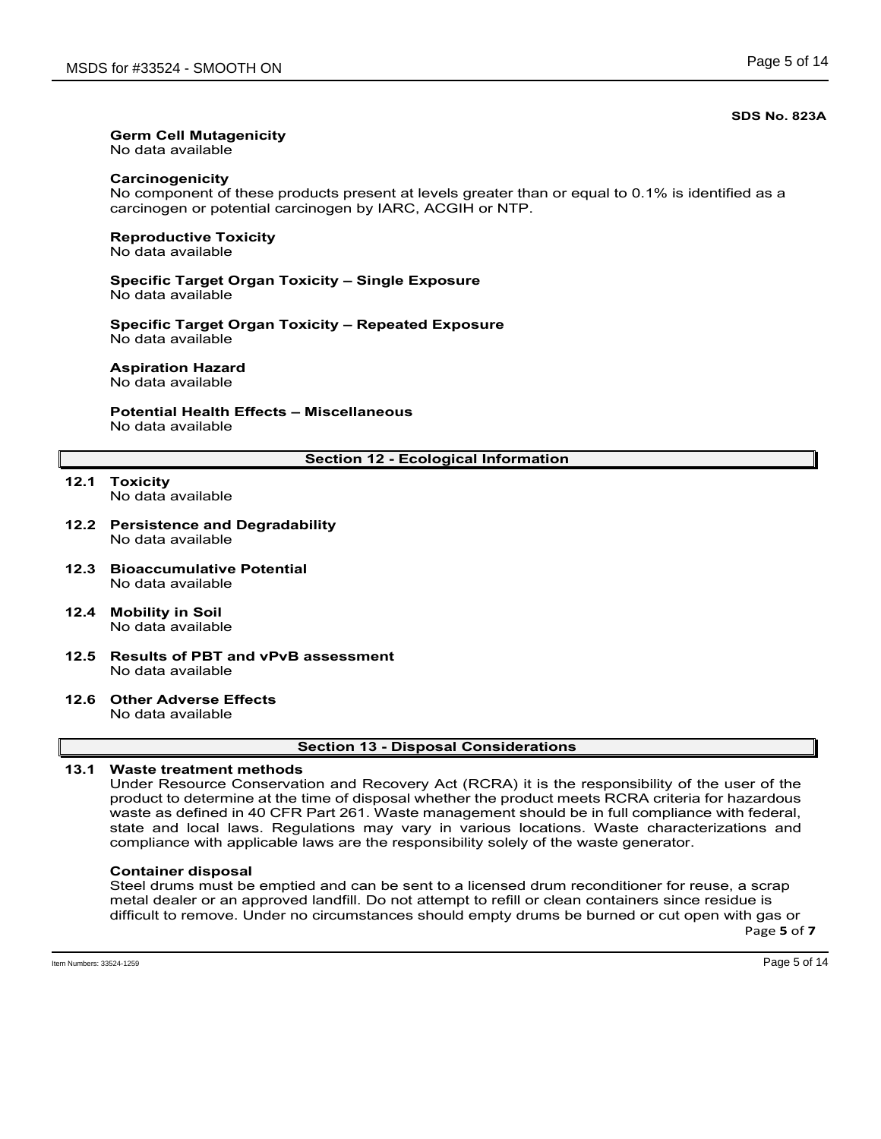# **Germ Cell Mutagenicity**

No data available

# **Carcinogenicity**

No component of these products present at levels greater than or equal to 0.1% is identified as a carcinogen or potential carcinogen by IARC, ACGIH or NTP.

## **Reproductive Toxicity** No data available

## **Specific Target Organ Toxicity – Single Exposure** No data available

**Specific Target Organ Toxicity – Repeated Exposure** No data available

# **Aspiration Hazard**

No data available

# **Potential Health Effects – Miscellaneous** No data available

# **Section 12 - Ecological Information**

**12.1 Toxicity** No data available

## **12.2 Persistence and Degradability** No data available

- **12.3 Bioaccumulative Potential** No data available
- **12.4 Mobility in Soil** No data available
- **12.5 Results of PBT and vPvB assessment** No data available

## **12.6 Other Adverse Effects** No data available

## **Section 13 - Disposal Considerations**

# **13.1 Waste treatment methods**

Under Resource Conservation and Recovery Act (RCRA) it is the responsibility of the user of the product to determine at the time of disposal whether the product meets RCRA criteria for hazardous waste as defined in 40 CFR Part 261. Waste management should be in full compliance with federal, state and local laws. Regulations may vary in various locations. Waste characterizations and compliance with applicable laws are the responsibility solely of the waste generator.

# **Container disposal**

Page **5** of **7** Steel drums must be emptied and can be sent to a licensed drum reconditioner for reuse, a scrap metal dealer or an approved landfill. Do not attempt to refill or clean containers since residue is difficult to remove. Under no circumstances should empty drums be burned or cut open with gas or

Item Numbers: 33524-1259 Page 5 of 14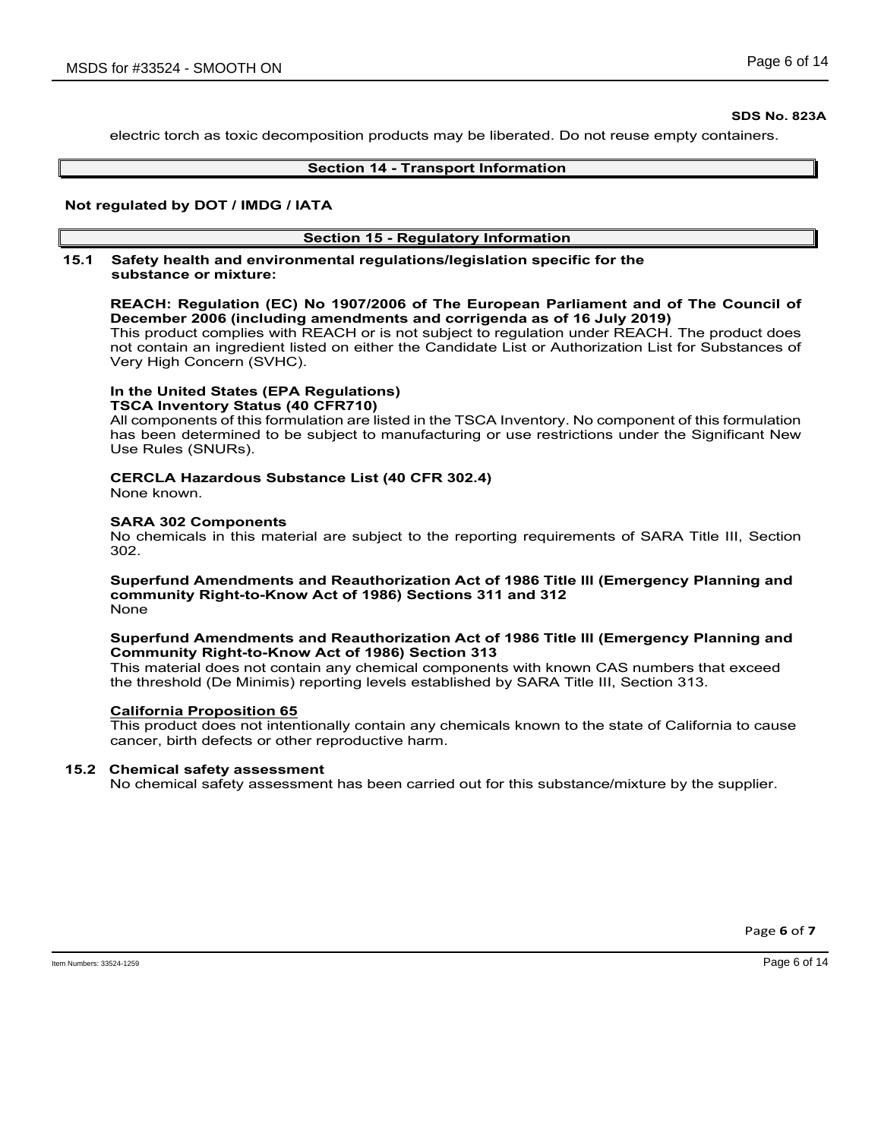electric torch as toxic decomposition products may be liberated. Do not reuse empty containers.

## **Section 14 - Transport Information**

## **Not regulated by DOT / IMDG / IATA**

# **Section 15 - Regulatory Information**

## **15.1 Safety health and environmental regulations/legislation specific for the substance or mixture:**

# **REACH: Regulation (EC) No 1907/2006 of The European Parliament and of The Council of December 2006 (including amendments and corrigenda as of 16 July 2019)**

This product complies with REACH or is not subject to regulation under REACH. The product does not contain an ingredient listed on either the Candidate List or Authorization List for Substances of Very High Concern (SVHC).

#### **In the United States (EPA Regulations) TSCA Inventory Status (40 CFR710)**

All components of this formulation are listed in the TSCA Inventory. No component of this formulation has been determined to be subject to manufacturing or use restrictions under the Significant New Use Rules (SNURs).

# **CERCLA Hazardous Substance List (40 CFR 302.4)**

None known.

# **SARA 302 Components**

No chemicals in this material are subject to the reporting requirements of SARA Title III, Section 302.

#### **Superfund Amendments and Reauthorization Act of 1986 Title lll (Emergency Planning and community Right-to-Know Act of 1986) Sections 311 and 312** None

# **Superfund Amendments and Reauthorization Act of 1986 Title lll (Emergency Planning and Community Right-to-Know Act of 1986) Section 313**

This material does not contain any chemical components with known CAS numbers that exceed the threshold (De Minimis) reporting levels established by SARA Title III, Section 313.

# **California Proposition 65**

This product does not intentionally contain any chemicals known to the state of California to cause cancer, birth defects or other reproductive harm.

# **15.2 Chemical safety assessment**

No chemical safety assessment has been carried out for this substance/mixture by the supplier.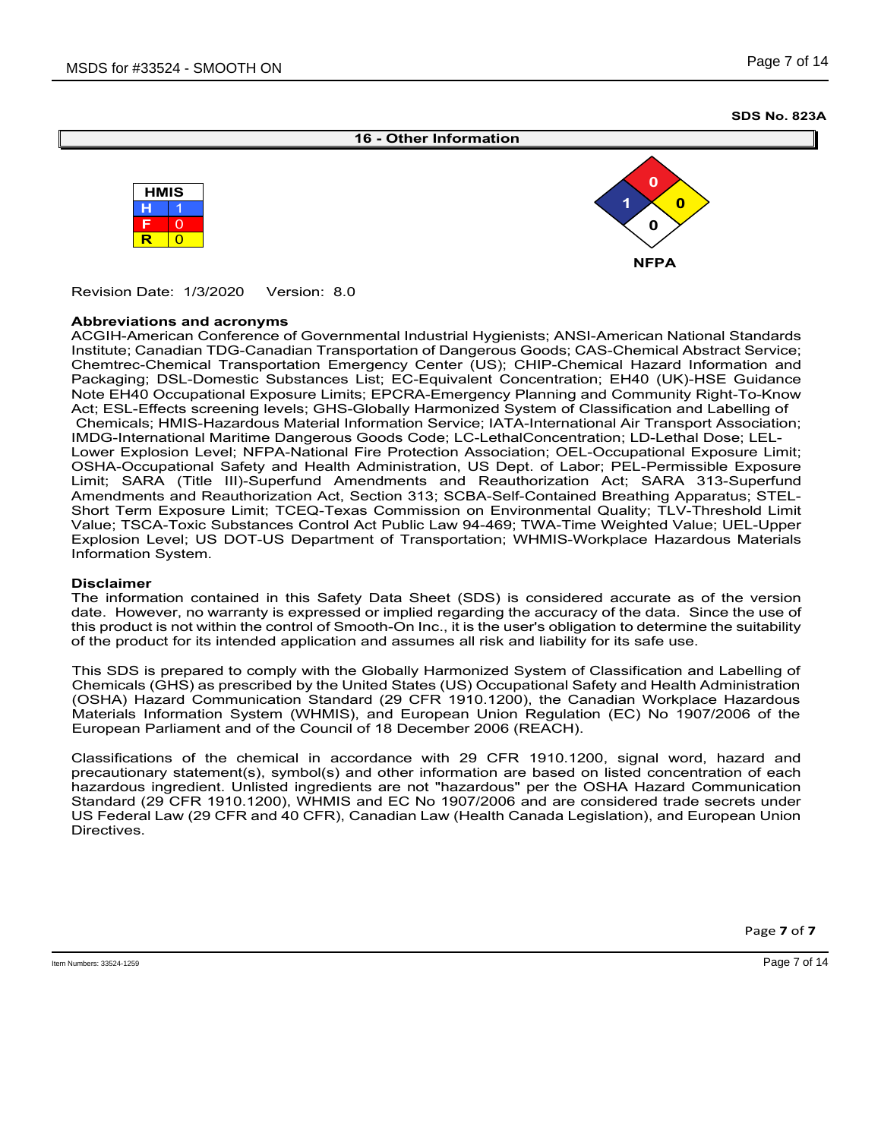



Revision Date: 1/3/2020 Version: 8.0

## **Abbreviations and acronyms**

ACGIH-American Conference of Governmental Industrial Hygienists; ANSI-American National Standards Institute; Canadian TDG-Canadian Transportation of Dangerous Goods; CAS-Chemical Abstract Service; Chemtrec-Chemical Transportation Emergency Center (US); CHIP-Chemical Hazard Information and Packaging; DSL-Domestic Substances List; EC-Equivalent Concentration; EH40 (UK)-HSE Guidance Note EH40 Occupational Exposure Limits; EPCRA-Emergency Planning and Community Right-To-Know Act; ESL-Effects screening levels; GHS-Globally Harmonized System of Classification and Labelling of Chemicals; HMIS-Hazardous Material Information Service; IATA-International Air Transport Association; IMDG-International Maritime Dangerous Goods Code; LC-LethalConcentration; LD-Lethal Dose; LEL-Lower Explosion Level; NFPA-National Fire Protection Association; OEL-Occupational Exposure Limit; OSHA-Occupational Safety and Health Administration, US Dept. of Labor; PEL-Permissible Exposure Limit; SARA (Title III)-Superfund Amendments and Reauthorization Act; SARA 313-Superfund Amendments and Reauthorization Act, Section 313; SCBA-Self-Contained Breathing Apparatus; STEL-Short Term Exposure Limit; TCEQ-Texas Commission on Environmental Quality; TLV-Threshold Limit Value; TSCA-Toxic Substances Control Act Public Law 94-469; TWA-Time Weighted Value; UEL-Upper Explosion Level; US DOT-US Department of Transportation; WHMIS-Workplace Hazardous Materials Information System.

## **Disclaimer**

The information contained in this Safety Data Sheet (SDS) is considered accurate as of the version date. However, no warranty is expressed or implied regarding the accuracy of the data. Since the use of this product is not within the control of Smooth-On Inc., it is the user's obligation to determine the suitability of the product for its intended application and assumes all risk and liability for its safe use.

This SDS is prepared to comply with the Globally Harmonized System of Classification and Labelling of Chemicals (GHS) as prescribed by the United States (US) Occupational Safety and Health Administration (OSHA) Hazard Communication Standard (29 CFR 1910.1200), the Canadian Workplace Hazardous Materials Information System (WHMIS), and European Union Regulation (EC) No 1907/2006 of the European Parliament and of the Council of 18 December 2006 (REACH).

Classifications of the chemical in accordance with 29 CFR 1910.1200, signal word, hazard and precautionary statement(s), symbol(s) and other information are based on listed concentration of each hazardous ingredient. Unlisted ingredients are not "hazardous" per the OSHA Hazard Communication Standard (29 CFR 1910.1200), WHMIS and EC No 1907/2006 and are considered trade secrets under US Federal Law (29 CFR and 40 CFR), Canadian Law (Health Canada Legislation), and European Union Directives.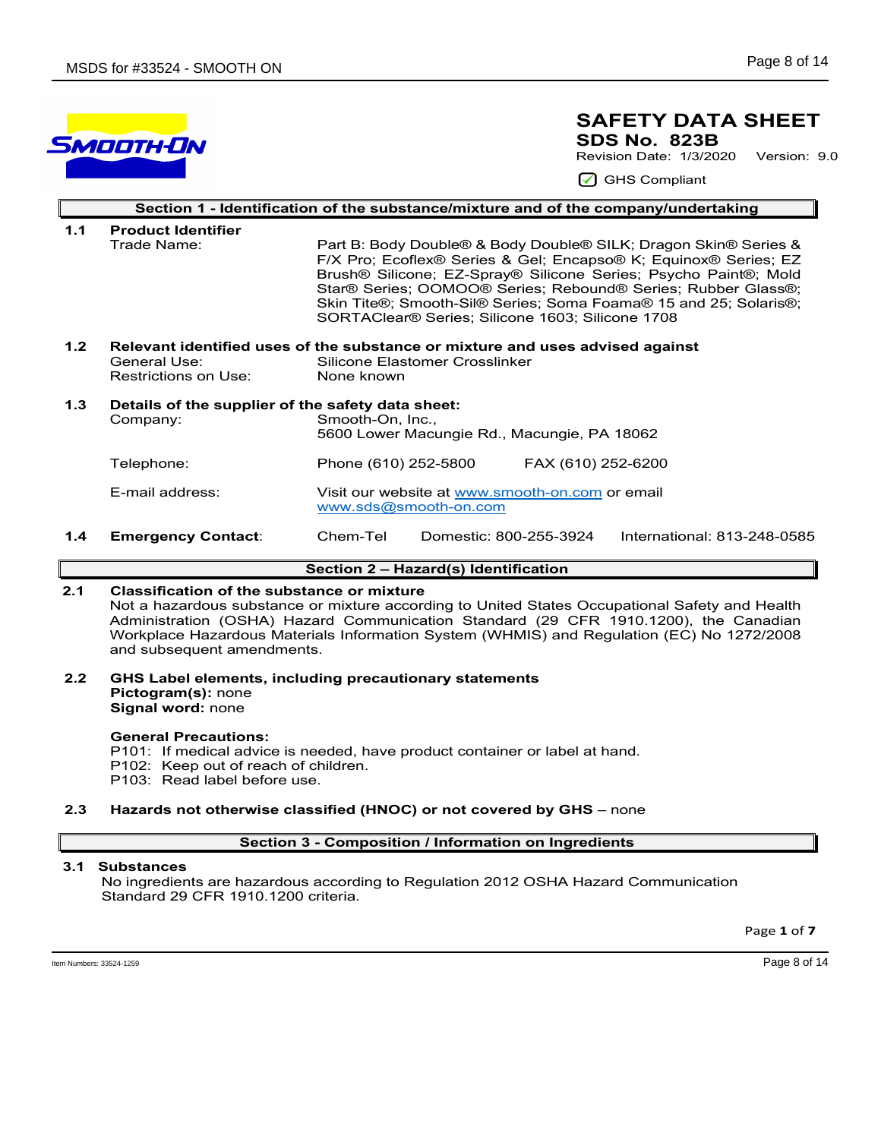# SMOOTH-ON

# **SAFETY DATA SHEET SDS No. 823B**

Revision Date: 1/3/2020 Version: 9.0

GHS Compliant

|                  | Section 1 - Identification of the substance/mixture and of the company/undertaking |                                                                                                                                                                                                                                                                                                                                                                                                           |  |  |  |  |  |
|------------------|------------------------------------------------------------------------------------|-----------------------------------------------------------------------------------------------------------------------------------------------------------------------------------------------------------------------------------------------------------------------------------------------------------------------------------------------------------------------------------------------------------|--|--|--|--|--|
| 1.1              | <b>Product Identifier</b>                                                          |                                                                                                                                                                                                                                                                                                                                                                                                           |  |  |  |  |  |
|                  | Trade Name:                                                                        | Part B: Body Double® & Body Double® SILK; Dragon Skin® Series &<br>F/X Pro; Ecoflex® Series & Gel; Encapso® K; Equinox® Series; EZ<br>Brush® Silicone; EZ-Spray® Silicone Series; Psycho Paint®; Mold<br>Star® Series; OOMOO® Series; Rebound® Series; Rubber Glass®;<br>Skin Tite®; Smooth-Sil® Series; Soma Foama® 15 and 25; Solaris®;<br>SORTAClear <sup>®</sup> Series: Silicone 1603: Silicone 1708 |  |  |  |  |  |
| 1.2 <sub>2</sub> | Relevant identified uses of the substance or mixture and uses advised against      |                                                                                                                                                                                                                                                                                                                                                                                                           |  |  |  |  |  |
|                  | General Use:                                                                       | Silicone Elastomer Crosslinker<br>None known                                                                                                                                                                                                                                                                                                                                                              |  |  |  |  |  |
|                  | Restrictions on Use:                                                               |                                                                                                                                                                                                                                                                                                                                                                                                           |  |  |  |  |  |
| 1.3              | Details of the supplier of the safety data sheet:                                  |                                                                                                                                                                                                                                                                                                                                                                                                           |  |  |  |  |  |
|                  | Company:                                                                           | Smooth-On, Inc.,                                                                                                                                                                                                                                                                                                                                                                                          |  |  |  |  |  |
|                  |                                                                                    | 5600 Lower Macungie Rd., Macungie, PA 18062                                                                                                                                                                                                                                                                                                                                                               |  |  |  |  |  |
|                  | Telephone:                                                                         | FAX (610) 252-6200<br>Phone (610) 252-5800                                                                                                                                                                                                                                                                                                                                                                |  |  |  |  |  |
|                  | E-mail address:                                                                    | Visit our website at www.smooth-on.com or email                                                                                                                                                                                                                                                                                                                                                           |  |  |  |  |  |
|                  |                                                                                    | www.sds@smooth-on.com                                                                                                                                                                                                                                                                                                                                                                                     |  |  |  |  |  |
| 1.4              | <b>Emergency Contact:</b>                                                          | International: 813-248-0585<br>Chem-Tel<br>Domestic: 800-255-3924                                                                                                                                                                                                                                                                                                                                         |  |  |  |  |  |
|                  |                                                                                    |                                                                                                                                                                                                                                                                                                                                                                                                           |  |  |  |  |  |

# **Section 2 – Hazard(s) Identification**

# **2.1 Classification of the substance or mixture**

Not a hazardous substance or mixture according to United States Occupational Safety and Health Administration (OSHA) Hazard Communication Standard (29 CFR 1910.1200), the Canadian Workplace Hazardous Materials Information System (WHMIS) and Regulation (EC) No 1272/2008 and subsequent amendments.

## **2.2 GHS Label elements, including precautionary statements Pictogram(s):** none **Signal word:** none

# **General Precautions:**

P101: If medical advice is needed, have product container or label at hand.

- P102: Keep out of reach of children.
- P103: Read label before use.

# **2.3 Hazards not otherwise classified (HNOC) or not covered by GHS** – none

# **Section 3 - Composition / Information on Ingredients**

# **3.1 Substances**

 No ingredients are hazardous according to Regulation 2012 OSHA Hazard Communication Standard 29 CFR 1910.1200 criteria.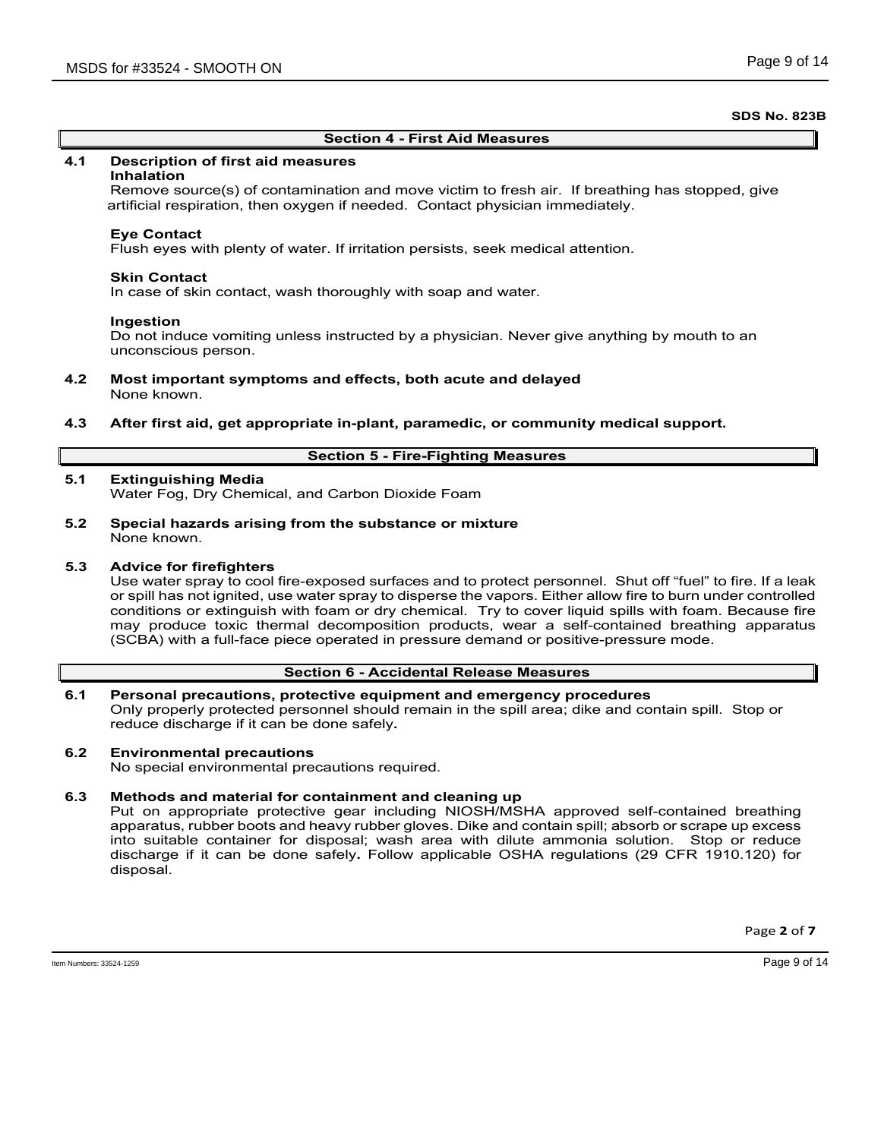## **Section 4 - First Aid Measures**

## **4.1 Description of first aid measures**

## **Inhalation**

Remove source(s) of contamination and move victim to fresh air. If breathing has stopped, give artificial respiration, then oxygen if needed. Contact physician immediately.

## **Eye Contact**

Flush eyes with plenty of water. If irritation persists, seek medical attention.

## **Skin Contact**

In case of skin contact, wash thoroughly with soap and water.

## **Ingestion**

Do not induce vomiting unless instructed by a physician. Never give anything by mouth to an unconscious person.

- **4.2 Most important symptoms and effects, both acute and delayed** None known.
- **4.3 After first aid, get appropriate in-plant, paramedic, or community medical support.**

# **Section 5 - Fire-Fighting Measures**

## **5.1 Extinguishing Media**

Water Fog, Dry Chemical, and Carbon Dioxide Foam

**5.2 Special hazards arising from the substance or mixture** None known.

## **5.3 Advice for firefighters**

Use water spray to cool fire-exposed surfaces and to protect personnel. Shut off "fuel" to fire. If a leak or spill has not ignited, use water spray to disperse the vapors. Either allow fire to burn under controlled conditions or extinguish with foam or dry chemical. Try to cover liquid spills with foam. Because fire may produce toxic thermal decomposition products, wear a self-contained breathing apparatus (SCBA) with a full-face piece operated in pressure demand or positive-pressure mode.

## **Section 6 - Accidental Release Measures**

# **6.1 Personal precautions, protective equipment and emergency procedures**

Only properly protected personnel should remain in the spill area; dike and contain spill. Stop or reduce discharge if it can be done safely**.**

## **6.2 Environmental precautions**

No special environmental precautions required.

# **6.3 Methods and material for containment and cleaning up**

Put on appropriate protective gear including NIOSH/MSHA approved self-contained breathing apparatus, rubber boots and heavy rubber gloves. Dike and contain spill; absorb or scrape up excess into suitable container for disposal; wash area with dilute ammonia solution. Stop or reduce discharge if it can be done safely**.** Follow applicable OSHA regulations (29 CFR 1910.120) for disposal.

Page **2** of **7**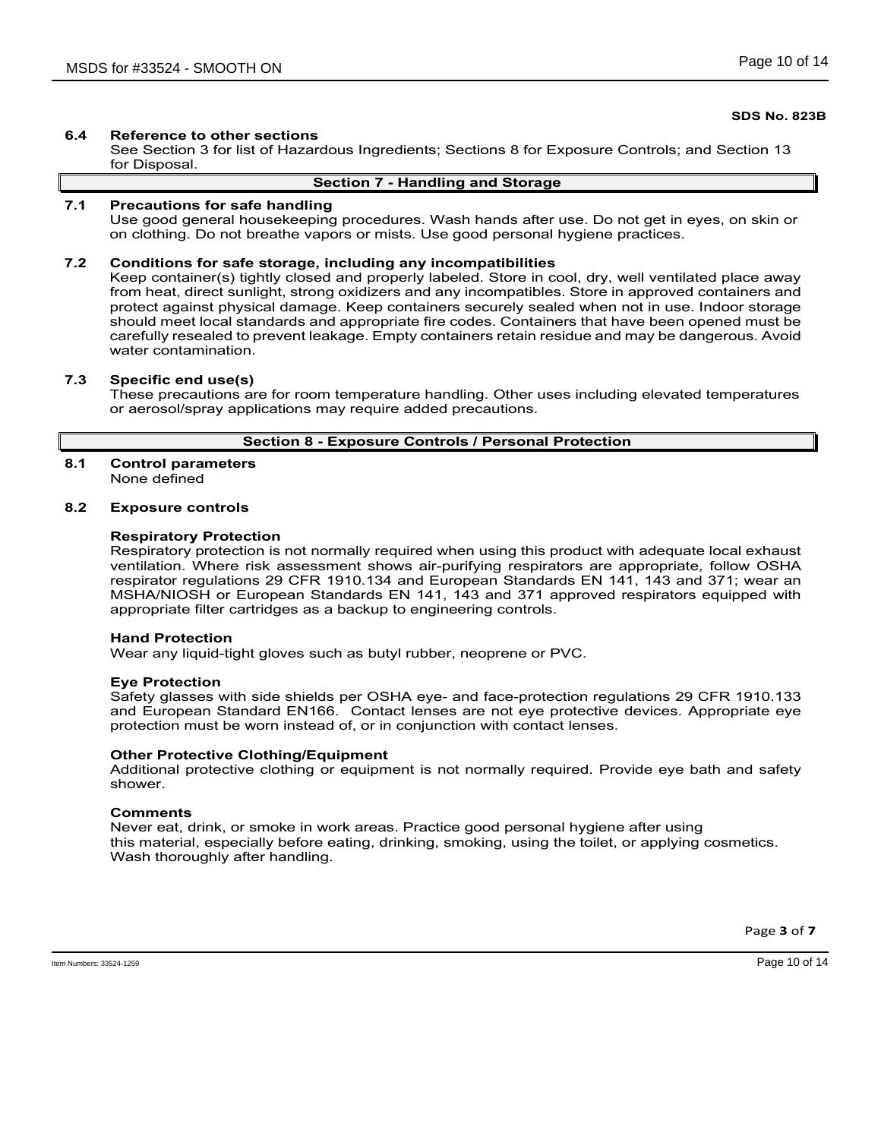# **6.4 Reference to other sections**

See Section 3 for list of Hazardous Ingredients; Sections 8 for Exposure Controls; and Section 13 for Disposal.

## **Section 7 - Handling and Storage**

## **7.1 Precautions for safe handling**

Use good general housekeeping procedures. Wash hands after use. Do not get in eyes, on skin or on clothing. Do not breathe vapors or mists. Use good personal hygiene practices.

## **7.2 Conditions for safe storage, including any incompatibilities**

Keep container(s) tightly closed and properly labeled. Store in cool, dry, well ventilated place away from heat, direct sunlight, strong oxidizers and any incompatibles. Store in approved containers and protect against physical damage. Keep containers securely sealed when not in use. Indoor storage should meet local standards and appropriate fire codes. Containers that have been opened must be carefully resealed to prevent leakage. Empty containers retain residue and may be dangerous. Avoid water contamination.

## **7.3 Specific end use(s)**

These precautions are for room temperature handling. Other uses including elevated temperatures or aerosol/spray applications may require added precautions.

## **Section 8 - Exposure Controls / Personal Protection**

#### **8.1 Control parameters** None defined

## **8.2 Exposure controls**

## **Respiratory Protection**

Respiratory protection is not normally required when using this product with adequate local exhaust ventilation. Where risk assessment shows air-purifying respirators are appropriate, follow OSHA respirator regulations 29 CFR 1910.134 and European Standards EN 141, 143 and 371; wear an MSHA/NIOSH or European Standards EN 141, 143 and 371 approved respirators equipped with appropriate filter cartridges as a backup to engineering controls.

## **Hand Protection**

Wear any liquid-tight gloves such as butyl rubber, neoprene or PVC.

## **Eye Protection**

Safety glasses with side shields per OSHA eye- and face-protection regulations 29 CFR 1910.133 and European Standard EN166. Contact lenses are not eye protective devices. Appropriate eye protection must be worn instead of, or in conjunction with contact lenses.

## **Other Protective Clothing/Equipment**

Additional protective clothing or equipment is not normally required. Provide eye bath and safety shower.

## **Comments**

Never eat, drink, or smoke in work areas. Practice good personal hygiene after using this material, especially before eating, drinking, smoking, using the toilet, or applying cosmetics. Wash thoroughly after handling.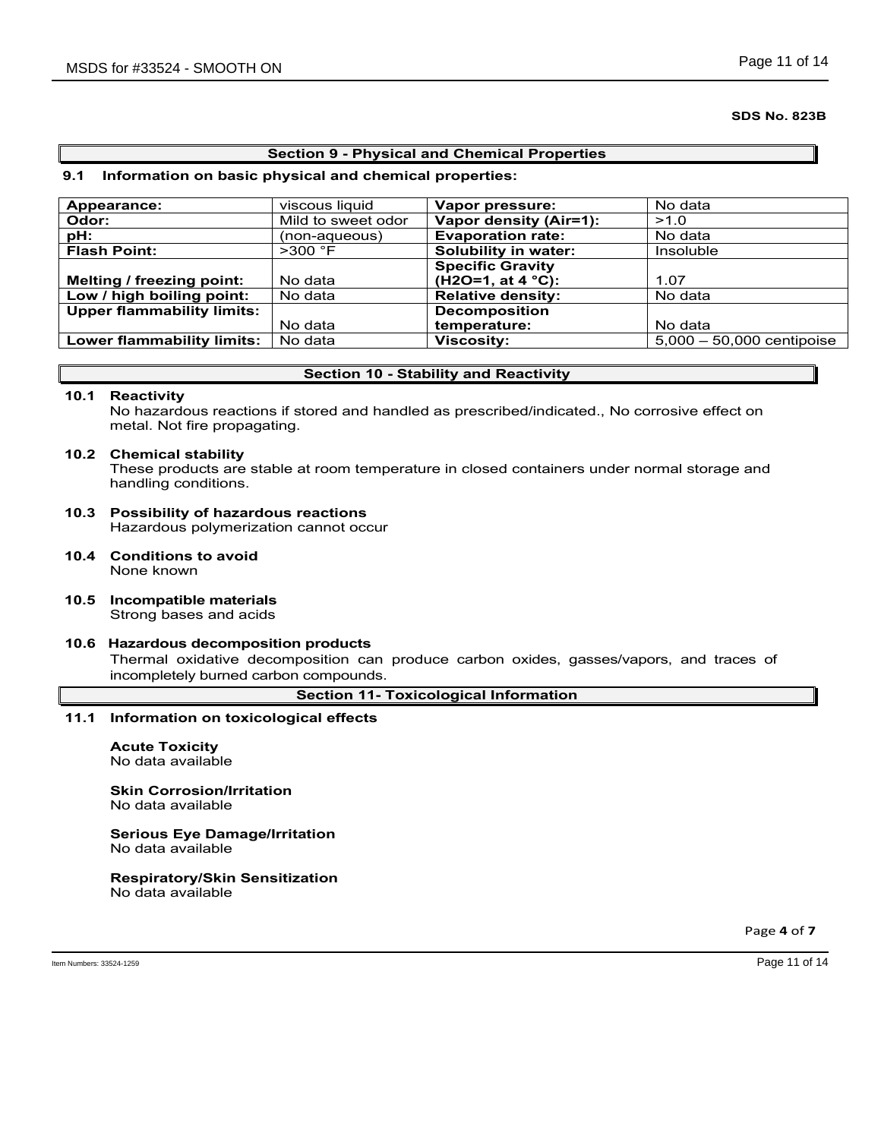## **Section 9 - Physical and Chemical Properties**

## **9.1 Information on basic physical and chemical properties:**

| Appearance:                       | viscous liquid     | Vapor pressure:          | No data                     |
|-----------------------------------|--------------------|--------------------------|-----------------------------|
| Odor:                             | Mild to sweet odor | Vapor density (Air=1):   | >1.0                        |
| pH:                               | (non-aqueous)      | <b>Evaporation rate:</b> | No data                     |
| <b>Flash Point:</b>               | $>300$ °F          | Solubility in water:     | Insoluble                   |
|                                   |                    | <b>Specific Gravity</b>  |                             |
| Melting / freezing point:         | No data            | $(H2O=1, at 4 °C):$      | 1.07                        |
| Low / high boiling point:         | No data            | <b>Relative density:</b> | No data                     |
| <b>Upper flammability limits:</b> |                    | <b>Decomposition</b>     |                             |
|                                   | No data            | temperature:             | No data                     |
| Lower flammability limits:        | No data            | <b>Viscosity:</b>        | $5,000 - 50,000$ centipoise |
|                                   |                    |                          |                             |

## **Section 10 - Stability and Reactivity**

## **10.1 Reactivity**

No hazardous reactions if stored and handled as prescribed/indicated., No corrosive effect on metal. Not fire propagating.

## **10.2 Chemical stability**

These products are stable at room temperature in closed containers under normal storage and handling conditions.

- **10.3 Possibility of hazardous reactions** Hazardous polymerization cannot occur
- **10.4 Conditions to avoid** None known
- **10.5 Incompatible materials** Strong bases and acids

## **10.6 Hazardous decomposition products**

Thermal oxidative decomposition can produce carbon oxides, gasses/vapors, and traces of incompletely burned carbon compounds.

**Section 11- Toxicological Information**

## **11.1 Information on toxicological effects**

**Acute Toxicity** No data available

# **Skin Corrosion/Irritation**

No data available

#### **Serious Eye Damage/Irritation** No data available

# **Respiratory/Skin Sensitization**

No data available

Page **4** of **7**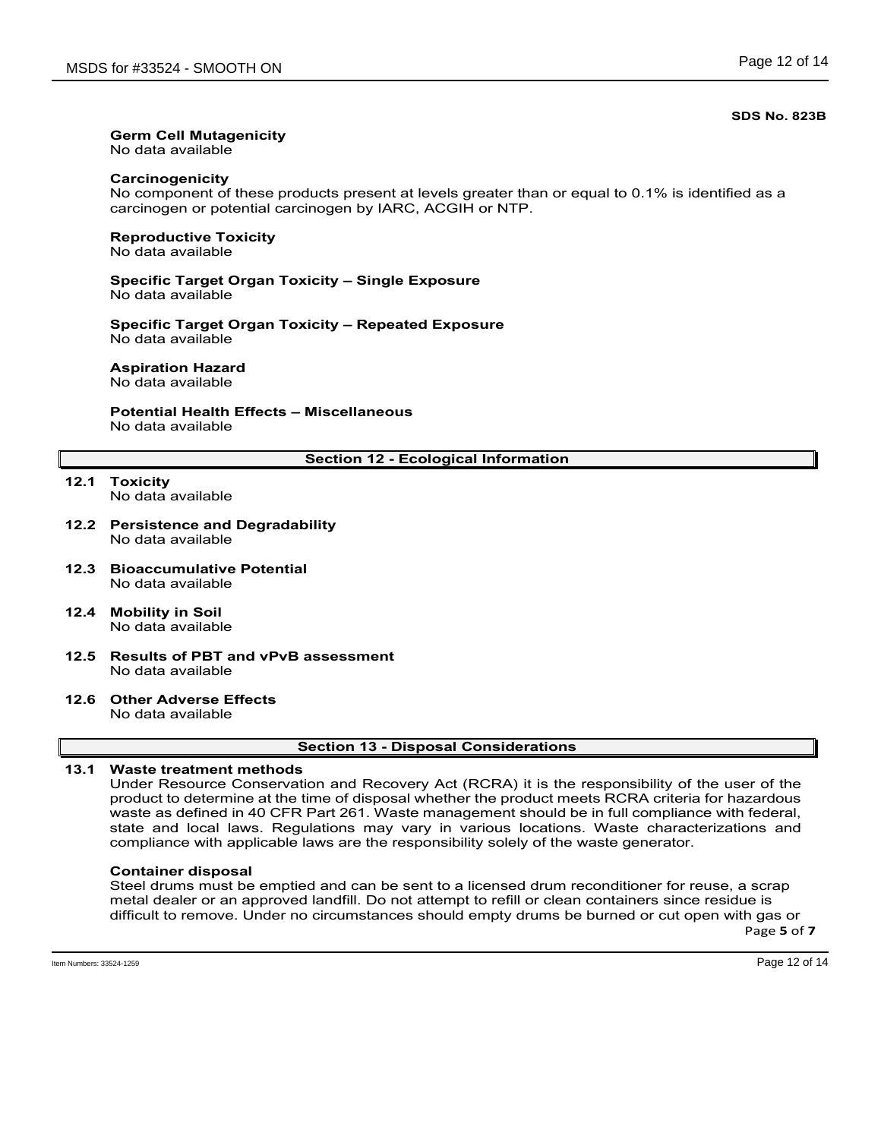# **Germ Cell Mutagenicity**

No data available

# **Carcinogenicity**

No component of these products present at levels greater than or equal to 0.1% is identified as a carcinogen or potential carcinogen by IARC, ACGIH or NTP.

## **Reproductive Toxicity** No data available

## **Specific Target Organ Toxicity – Single Exposure** No data available

**Specific Target Organ Toxicity – Repeated Exposure** No data available

# **Aspiration Hazard**

No data available

# **Potential Health Effects – Miscellaneous** No data available

# **Section 12 - Ecological Information**

- **12.1 Toxicity** No data available
- **12.2 Persistence and Degradability** No data available
- **12.3 Bioaccumulative Potential** No data available
- **12.4 Mobility in Soil** No data available
- **12.5 Results of PBT and vPvB assessment** No data available
- **12.6 Other Adverse Effects** No data available

## **Section 13 - Disposal Considerations**

# **13.1 Waste treatment methods**

Under Resource Conservation and Recovery Act (RCRA) it is the responsibility of the user of the product to determine at the time of disposal whether the product meets RCRA criteria for hazardous waste as defined in 40 CFR Part 261. Waste management should be in full compliance with federal, state and local laws. Regulations may vary in various locations. Waste characterizations and compliance with applicable laws are the responsibility solely of the waste generator.

# **Container disposal**

Steel drums must be emptied and can be sent to a licensed drum reconditioner for reuse, a scrap metal dealer or an approved landfill. Do not attempt to refill or clean containers since residue is difficult to remove. Under no circumstances should empty drums be burned or cut open with gas or

Page **5** of **7**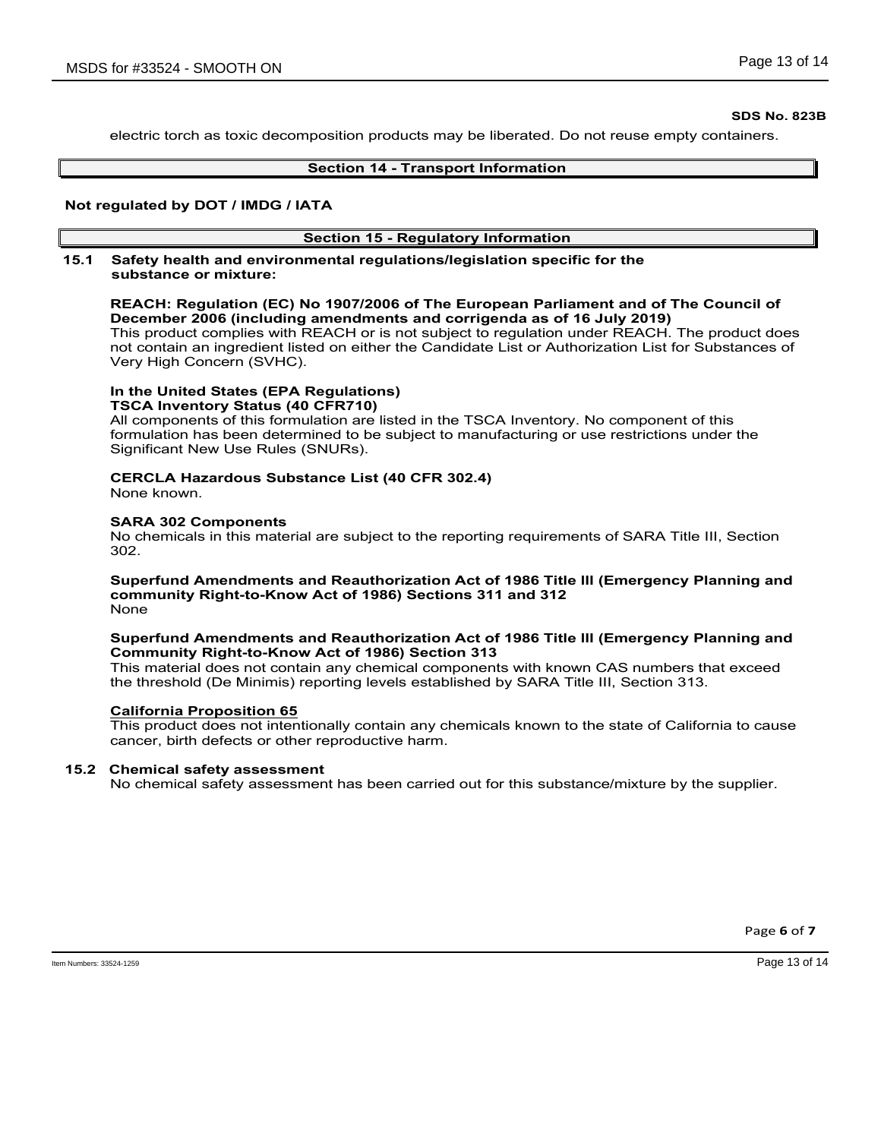electric torch as toxic decomposition products may be liberated. Do not reuse empty containers.

## **Section 14 - Transport Information**

## **Not regulated by DOT / IMDG / IATA**

# **Section 15 - Regulatory Information**

## **15.1 Safety health and environmental regulations/legislation specific for the substance or mixture:**

# **REACH: Regulation (EC) No 1907/2006 of The European Parliament and of The Council of December 2006 (including amendments and corrigenda as of 16 July 2019)**

This product complies with REACH or is not subject to regulation under REACH. The product does not contain an ingredient listed on either the Candidate List or Authorization List for Substances of Very High Concern (SVHC).

#### **In the United States (EPA Regulations) TSCA Inventory Status (40 CFR710)**

All components of this formulation are listed in the TSCA Inventory. No component of this formulation has been determined to be subject to manufacturing or use restrictions under the Significant New Use Rules (SNURs).

# **CERCLA Hazardous Substance List (40 CFR 302.4)**

None known.

## **SARA 302 Components**

No chemicals in this material are subject to the reporting requirements of SARA Title III, Section 302.

#### **Superfund Amendments and Reauthorization Act of 1986 Title lll (Emergency Planning and community Right-to-Know Act of 1986) Sections 311 and 312** None

# **Superfund Amendments and Reauthorization Act of 1986 Title lll (Emergency Planning and Community Right-to-Know Act of 1986) Section 313**

This material does not contain any chemical components with known CAS numbers that exceed the threshold (De Minimis) reporting levels established by SARA Title III, Section 313.

# **California Proposition 65**

This product does not intentionally contain any chemicals known to the state of California to cause cancer, birth defects or other reproductive harm.

# **15.2 Chemical safety assessment**

No chemical safety assessment has been carried out for this substance/mixture by the supplier.